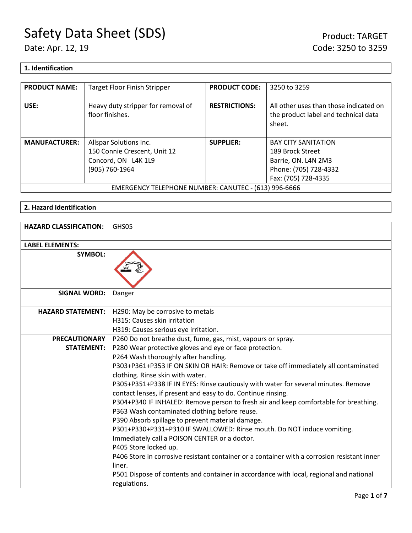## **1. Identification**

| <b>PRODUCT NAME:</b>                                 | <b>Target Floor Finish Stripper</b>                   | <b>PRODUCT CODE:</b> | 3250 to 3259                                                                             |
|------------------------------------------------------|-------------------------------------------------------|----------------------|------------------------------------------------------------------------------------------|
| USE:                                                 | Heavy duty stripper for removal of<br>floor finishes. | <b>RESTRICTIONS:</b> | All other uses than those indicated on<br>the product label and technical data<br>sheet. |
| <b>MANUFACTURER:</b>                                 | Allspar Solutions Inc.                                | <b>SUPPLIER:</b>     | <b>BAY CITY SANITATION</b>                                                               |
|                                                      | 150 Connie Crescent, Unit 12                          |                      | 189 Brock Street                                                                         |
|                                                      | Concord, ON L4K 1L9                                   |                      | Barrie, ON. L4N 2M3                                                                      |
|                                                      | (905) 760-1964                                        |                      | Phone: (705) 728-4332                                                                    |
|                                                      |                                                       |                      | Fax: (705) 728-4335                                                                      |
| EMERGENCY TELEPHONE NUMBER: CANUTEC - (613) 996-6666 |                                                       |                      |                                                                                          |

## **2. Hazard Identification**

| <b>HAZARD CLASSIFICATION:</b> | GHS05                                                                                                                                              |
|-------------------------------|----------------------------------------------------------------------------------------------------------------------------------------------------|
| <b>LABEL ELEMENTS:</b>        |                                                                                                                                                    |
| <b>SYMBOL:</b>                |                                                                                                                                                    |
| <b>SIGNAL WORD:</b>           | Danger                                                                                                                                             |
| <b>HAZARD STATEMENT:</b>      | H290: May be corrosive to metals                                                                                                                   |
|                               | H315: Causes skin irritation                                                                                                                       |
|                               | H319: Causes serious eye irritation.                                                                                                               |
| <b>PRECAUTIONARY</b>          | P260 Do not breathe dust, fume, gas, mist, vapours or spray.                                                                                       |
| <b>STATEMENT:</b>             | P280 Wear protective gloves and eye or face protection.                                                                                            |
|                               | P264 Wash thoroughly after handling.                                                                                                               |
|                               | P303+P361+P353 IF ON SKIN OR HAIR: Remove or take off immediately all contaminated<br>clothing. Rinse skin with water.                             |
|                               | P305+P351+P338 IF IN EYES: Rinse cautiously with water for several minutes. Remove<br>contact lenses, if present and easy to do. Continue rinsing. |
|                               | P304+P340 IF INHALED: Remove person to fresh air and keep comfortable for breathing.                                                               |
|                               | P363 Wash contaminated clothing before reuse.                                                                                                      |
|                               | P390 Absorb spillage to prevent material damage.                                                                                                   |
|                               | P301+P330+P331+P310 IF SWALLOWED: Rinse mouth. Do NOT induce vomiting.                                                                             |
|                               | Immediately call a POISON CENTER or a doctor.                                                                                                      |
|                               | P405 Store locked up.                                                                                                                              |
|                               | P406 Store in corrosive resistant container or a container with a corrosion resistant inner<br>liner.                                              |
|                               | P501 Dispose of contents and container in accordance with local, regional and national<br>regulations.                                             |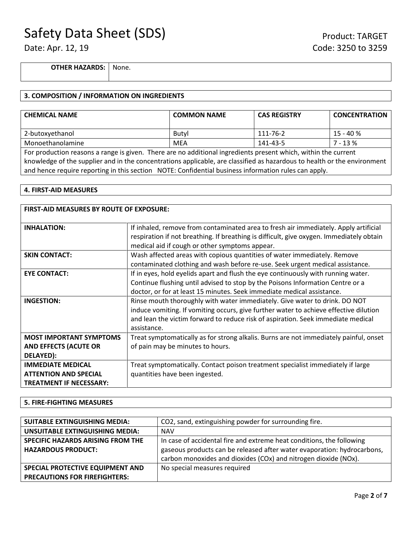**OTHER HAZARDS:** None.

## **3. COMPOSITION / INFORMATION ON INGREDIENTS**

| <b>CHEMICAL NAME</b>                                                                                           | <b>COMMON NAME</b> | <b>CAS REGISTRY</b> | <b>CONCENTRATION</b> |
|----------------------------------------------------------------------------------------------------------------|--------------------|---------------------|----------------------|
| 2-butoxyethanol                                                                                                | Butyl              | 111-76-2            | 15 - 40 %            |
| Monoethanolamine                                                                                               | <b>MEA</b>         | 141-43-5            | 7 - 13 %             |
| For production reasons a range is given. There are no additional ingredients present which, within the current |                    |                     |                      |

knowledge of the supplier and in the concentrations applicable, are classified as hazardous to health or the environment and hence require reporting in this section NOTE: Confidential business information rules can apply.

#### **4. FIRST-AID MEASURES**

| <b>FIRST-AID MEASURES BY ROUTE OF EXPOSURE:</b>                                            |                                                                                                                                                                                                                                                                        |  |
|--------------------------------------------------------------------------------------------|------------------------------------------------------------------------------------------------------------------------------------------------------------------------------------------------------------------------------------------------------------------------|--|
| <b>INHALATION:</b>                                                                         | If inhaled, remove from contaminated area to fresh air immediately. Apply artificial<br>respiration if not breathing. If breathing is difficult, give oxygen. Immediately obtain<br>medical aid if cough or other symptoms appear.                                     |  |
| <b>SKIN CONTACT:</b>                                                                       | Wash affected areas with copious quantities of water immediately. Remove<br>contaminated clothing and wash before re-use. Seek urgent medical assistance.                                                                                                              |  |
| <b>EYE CONTACT:</b>                                                                        | If in eyes, hold eyelids apart and flush the eye continuously with running water.<br>Continue flushing until advised to stop by the Poisons Information Centre or a<br>doctor, or for at least 15 minutes. Seek immediate medical assistance.                          |  |
| <b>INGESTION:</b>                                                                          | Rinse mouth thoroughly with water immediately. Give water to drink. DO NOT<br>induce vomiting. If vomiting occurs, give further water to achieve effective dilution<br>and lean the victim forward to reduce risk of aspiration. Seek immediate medical<br>assistance. |  |
| <b>MOST IMPORTANT SYMPTOMS</b><br><b>AND EFFECTS (ACUTE OR</b><br>DELAYED):                | Treat symptomatically as for strong alkalis. Burns are not immediately painful, onset<br>of pain may be minutes to hours.                                                                                                                                              |  |
| <b>IMMEDIATE MEDICAL</b><br><b>ATTENTION AND SPECIAL</b><br><b>TREATMENT IF NECESSARY:</b> | Treat symptomatically. Contact poison treatment specialist immediately if large<br>quantities have been ingested.                                                                                                                                                      |  |

### **5. FIRE-FIGHTING MEASURES**

| <b>SUITABLE EXTINGUISHING MEDIA:</b> | CO2, sand, extinguishing powder for surrounding fire.                   |  |
|--------------------------------------|-------------------------------------------------------------------------|--|
| UNSUITABLE EXTINGUISHING MEDIA:      | <b>NAV</b>                                                              |  |
| SPECIFIC HAZARDS ARISING FROM THE    | In case of accidental fire and extreme heat conditions, the following   |  |
| <b>HAZARDOUS PRODUCT:</b>            | gaseous products can be released after water evaporation: hydrocarbons, |  |
|                                      | carbon monoxides and dioxides (COx) and nitrogen dioxide (NOx).         |  |
| SPECIAL PROTECTIVE EQUIPMENT AND     | No special measures required                                            |  |
| <b>PRECAUTIONS FOR FIREFIGHTERS:</b> |                                                                         |  |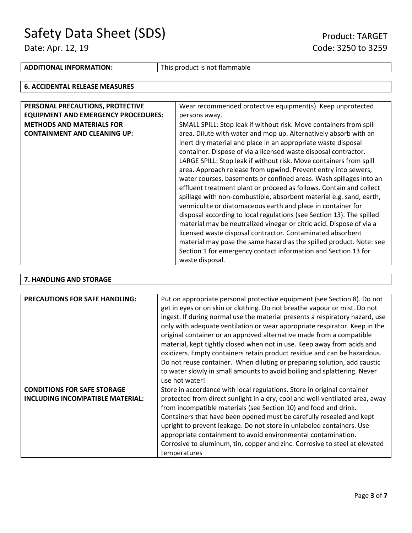## **ADDITIONAL INFORMATION:** This product is not flammable

#### **6. ACCIDENTAL RELEASE MEASURES**

| PERSONAL PRECAUTIONS, PROTECTIVE           | Wear recommended protective equipment(s). Keep unprotected            |  |
|--------------------------------------------|-----------------------------------------------------------------------|--|
|                                            |                                                                       |  |
| <b>EQUIPMENT AND EMERGENCY PROCEDURES:</b> | persons away.                                                         |  |
| <b>METHODS AND MATERIALS FOR</b>           | SMALL SPILL: Stop leak if without risk. Move containers from spill    |  |
| <b>CONTAINMENT AND CLEANING UP:</b>        | area. Dilute with water and mop up. Alternatively absorb with an      |  |
|                                            | inert dry material and place in an appropriate waste disposal         |  |
|                                            | container. Dispose of via a licensed waste disposal contractor.       |  |
|                                            | LARGE SPILL: Stop leak if without risk. Move containers from spill    |  |
|                                            | area. Approach release from upwind. Prevent entry into sewers,        |  |
|                                            | water courses, basements or confined areas. Wash spillages into an    |  |
|                                            | effluent treatment plant or proceed as follows. Contain and collect   |  |
|                                            | spillage with non-combustible, absorbent material e.g. sand, earth,   |  |
|                                            | vermiculite or diatomaceous earth and place in container for          |  |
|                                            | disposal according to local regulations (see Section 13). The spilled |  |
|                                            | material may be neutralized vinegar or citric acid. Dispose of via a  |  |
|                                            | licensed waste disposal contractor. Contaminated absorbent            |  |
|                                            | material may pose the same hazard as the spilled product. Note: see   |  |
|                                            | Section 1 for emergency contact information and Section 13 for        |  |
|                                            | waste disposal.                                                       |  |

## **7. HANDLING AND STORAGE**

| <b>PRECAUTIONS FOR SAFE HANDLING:</b> | Put on appropriate personal protective equipment (see Section 8). Do not<br>get in eyes or on skin or clothing. Do not breathe vapour or mist. Do not<br>ingest. If during normal use the material presents a respiratory hazard, use<br>only with adequate ventilation or wear appropriate respirator. Keep in the<br>original container or an approved alternative made from a compatible<br>material, kept tightly closed when not in use. Keep away from acids and<br>oxidizers. Empty containers retain product residue and can be hazardous.<br>Do not reuse container. When diluting or preparing solution, add caustic<br>to water slowly in small amounts to avoid boiling and splattering. Never<br>use hot water! |
|---------------------------------------|------------------------------------------------------------------------------------------------------------------------------------------------------------------------------------------------------------------------------------------------------------------------------------------------------------------------------------------------------------------------------------------------------------------------------------------------------------------------------------------------------------------------------------------------------------------------------------------------------------------------------------------------------------------------------------------------------------------------------|
| <b>CONDITIONS FOR SAFE STORAGE</b>    | Store in accordance with local regulations. Store in original container                                                                                                                                                                                                                                                                                                                                                                                                                                                                                                                                                                                                                                                      |
| INCLUDING INCOMPATIBLE MATERIAL:      | protected from direct sunlight in a dry, cool and well-ventilated area, away                                                                                                                                                                                                                                                                                                                                                                                                                                                                                                                                                                                                                                                 |
|                                       | from incompatible materials (see Section 10) and food and drink.                                                                                                                                                                                                                                                                                                                                                                                                                                                                                                                                                                                                                                                             |
|                                       | Containers that have been opened must be carefully resealed and kept                                                                                                                                                                                                                                                                                                                                                                                                                                                                                                                                                                                                                                                         |
|                                       | upright to prevent leakage. Do not store in unlabeled containers. Use                                                                                                                                                                                                                                                                                                                                                                                                                                                                                                                                                                                                                                                        |
|                                       | appropriate containment to avoid environmental contamination.                                                                                                                                                                                                                                                                                                                                                                                                                                                                                                                                                                                                                                                                |
|                                       | Corrosive to aluminum, tin, copper and zinc. Corrosive to steel at elevated                                                                                                                                                                                                                                                                                                                                                                                                                                                                                                                                                                                                                                                  |
|                                       | temperatures                                                                                                                                                                                                                                                                                                                                                                                                                                                                                                                                                                                                                                                                                                                 |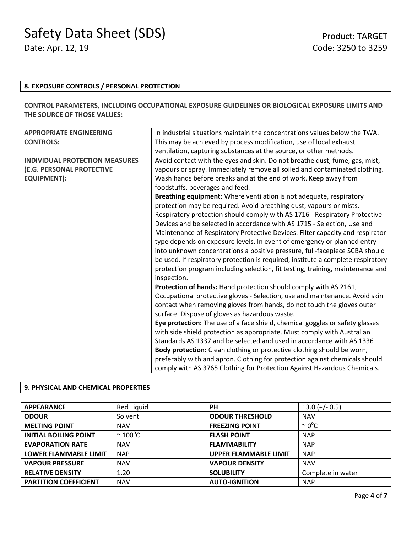## **8. EXPOSURE CONTROLS / PERSONAL PROTECTION**

|                                       | CONTROL PARAMETERS, INCLUDING OCCUPATIONAL EXPOSURE GUIDELINES OR BIOLOGICAL EXPOSURE LIMITS AND |  |
|---------------------------------------|--------------------------------------------------------------------------------------------------|--|
| THE SOURCE OF THOSE VALUES:           |                                                                                                  |  |
|                                       |                                                                                                  |  |
| <b>APPROPRIATE ENGINEERING</b>        | In industrial situations maintain the concentrations values below the TWA.                       |  |
| <b>CONTROLS:</b>                      | This may be achieved by process modification, use of local exhaust                               |  |
|                                       | ventilation, capturing substances at the source, or other methods.                               |  |
| <b>INDIVIDUAL PROTECTION MEASURES</b> | Avoid contact with the eyes and skin. Do not breathe dust, fume, gas, mist,                      |  |
| (E.G. PERSONAL PROTECTIVE             | vapours or spray. Immediately remove all soiled and contaminated clothing.                       |  |
| <b>EQUIPMENT):</b>                    | Wash hands before breaks and at the end of work. Keep away from                                  |  |
|                                       | foodstuffs, beverages and feed.                                                                  |  |
|                                       | Breathing equipment: Where ventilation is not adequate, respiratory                              |  |
|                                       | protection may be required. Avoid breathing dust, vapours or mists.                              |  |
|                                       | Respiratory protection should comply with AS 1716 - Respiratory Protective                       |  |
|                                       | Devices and be selected in accordance with AS 1715 - Selection, Use and                          |  |
|                                       | Maintenance of Respiratory Protective Devices. Filter capacity and respirator                    |  |
|                                       | type depends on exposure levels. In event of emergency or planned entry                          |  |
|                                       | into unknown concentrations a positive pressure, full-facepiece SCBA should                      |  |
|                                       | be used. If respiratory protection is required, institute a complete respiratory                 |  |
|                                       | protection program including selection, fit testing, training, maintenance and                   |  |
|                                       | inspection.                                                                                      |  |
|                                       | Protection of hands: Hand protection should comply with AS 2161,                                 |  |
|                                       | Occupational protective gloves - Selection, use and maintenance. Avoid skin                      |  |
|                                       | contact when removing gloves from hands, do not touch the gloves outer                           |  |
|                                       | surface. Dispose of gloves as hazardous waste.                                                   |  |
|                                       | Eye protection: The use of a face shield, chemical goggles or safety glasses                     |  |
|                                       | with side shield protection as appropriate. Must comply with Australian                          |  |
|                                       | Standards AS 1337 and be selected and used in accordance with AS 1336                            |  |
|                                       | Body protection: Clean clothing or protective clothing should be worn,                           |  |
|                                       | preferably with and apron. Clothing for protection against chemicals should                      |  |
|                                       | comply with AS 3765 Clothing for Protection Against Hazardous Chemicals.                         |  |

### **9. PHYSICAL AND CHEMICAL PROPERTIES**

| <b>APPEARANCE</b>            | Red Liquid              | <b>PH</b>                    | $13.0$ (+/- 0.5)   |
|------------------------------|-------------------------|------------------------------|--------------------|
| <b>ODOUR</b>                 | Solvent                 | <b>ODOUR THRESHOLD</b>       | <b>NAV</b>         |
| <b>MELTING POINT</b>         | <b>NAV</b>              | <b>FREEZING POINT</b>        | $\sim 0^{\circ}$ C |
| <b>INITIAL BOILING POINT</b> | $\approx 100^{\circ}$ C | <b>FLASH POINT</b>           | <b>NAP</b>         |
| <b>EVAPORATION RATE</b>      | <b>NAV</b>              | <b>FLAMMABILITY</b>          | <b>NAP</b>         |
| <b>LOWER FLAMMABLE LIMIT</b> | <b>NAP</b>              | <b>UPPER FLAMMABLE LIMIT</b> | <b>NAP</b>         |
| <b>VAPOUR PRESSURE</b>       | <b>NAV</b>              | <b>VAPOUR DENSITY</b>        | <b>NAV</b>         |
| <b>RELATIVE DENSITY</b>      | 1.20                    | <b>SOLUBILITY</b>            | Complete in water  |
| <b>PARTITION COEFFICIENT</b> | <b>NAV</b>              | <b>AUTO-IGNITION</b>         | <b>NAP</b>         |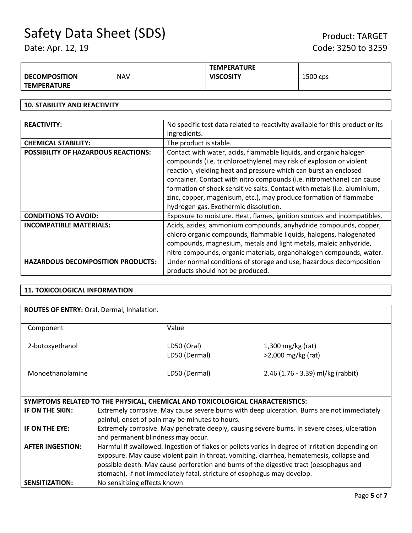|                      |            | <b>TEMPERATURE</b> |          |
|----------------------|------------|--------------------|----------|
| <b>DECOMPOSITION</b> | <b>NAV</b> | <b>VISCOSITY</b>   | 1500 cps |
| <b>TEMPERATURE</b>   |            |                    |          |

## **10. STABILITY AND REACTIVITY**

| <b>REACTIVITY:</b>                         | No specific test data related to reactivity available for this product or its |  |
|--------------------------------------------|-------------------------------------------------------------------------------|--|
|                                            | ingredients.                                                                  |  |
| <b>CHEMICAL STABILITY:</b>                 | The product is stable.                                                        |  |
| <b>POSSIBILITY OF HAZARDOUS REACTIONS:</b> | Contact with water, acids, flammable liquids, and organic halogen             |  |
|                                            | compounds (i.e. trichloroethylene) may risk of explosion or violent           |  |
|                                            | reaction, yielding heat and pressure which can burst an enclosed              |  |
|                                            | container. Contact with nitro compounds (i.e. nitromethane) can cause         |  |
|                                            | formation of shock sensitive salts. Contact with metals (i.e. aluminium,      |  |
|                                            | zinc, copper, magenisum, etc.), may produce formation of flammabe             |  |
|                                            | hydrogen gas. Exothermic dissolution.                                         |  |
| <b>CONDITIONS TO AVOID:</b>                | Exposure to moisture. Heat, flames, ignition sources and incompatibles.       |  |
| <b>INCOMPATIBLE MATERIALS:</b>             | Acids, azides, ammonium compounds, anyhydride compounds, copper,              |  |
|                                            | chloro organic compounds, flammable liquids, halogens, halogenated            |  |
|                                            | compounds, magnesium, metals and light metals, maleic anhydride,              |  |
|                                            | nitro compounds, organic materials, organohalogen compounds, water.           |  |
| <b>HAZARDOUS DECOMPOSITION PRODUCTS:</b>   | Under normal conditions of storage and use, hazardous decomposition           |  |
|                                            | products should not be produced.                                              |  |

## **11. TOXICOLOGICAL INFORMATION**

| ROUTES OF ENTRY: Oral, Dermal, Inhalation. |                                                                                                                                                                                                                                                                                                                                                                    |                                   |  |
|--------------------------------------------|--------------------------------------------------------------------------------------------------------------------------------------------------------------------------------------------------------------------------------------------------------------------------------------------------------------------------------------------------------------------|-----------------------------------|--|
| Component                                  | Value                                                                                                                                                                                                                                                                                                                                                              |                                   |  |
| 2-butoxyethanol                            | LD50 (Oral)                                                                                                                                                                                                                                                                                                                                                        | $1,300$ mg/kg (rat)               |  |
|                                            | LD50 (Dermal)                                                                                                                                                                                                                                                                                                                                                      | $>2,000$ mg/kg (rat)              |  |
| Monoethanolamine                           | LD50 (Dermal)                                                                                                                                                                                                                                                                                                                                                      | 2.46 (1.76 - 3.39) ml/kg (rabbit) |  |
|                                            |                                                                                                                                                                                                                                                                                                                                                                    |                                   |  |
|                                            | SYMPTOMS RELATED TO THE PHYSICAL, CHEMICAL AND TOXICOLOGICAL CHARACTERISTICS:                                                                                                                                                                                                                                                                                      |                                   |  |
| IF ON THE SKIN:                            | Extremely corrosive. May cause severe burns with deep ulceration. Burns are not immediately<br>painful, onset of pain may be minutes to hours.                                                                                                                                                                                                                     |                                   |  |
| IF ON THE EYE:                             | Extremely corrosive. May penetrate deeply, causing severe burns. In severe cases, ulceration<br>and permanent blindness may occur.                                                                                                                                                                                                                                 |                                   |  |
| <b>AFTER INGESTION:</b>                    | Harmful if swallowed. Ingestion of flakes or pellets varies in degree of irritation depending on<br>exposure. May cause violent pain in throat, vomiting, diarrhea, hematemesis, collapse and<br>possible death. May cause perforation and burns of the digestive tract (oesophagus and<br>stomach). If not immediately fatal, stricture of esophagus may develop. |                                   |  |
| <b>SENSITIZATION:</b>                      | No sensitizing effects known                                                                                                                                                                                                                                                                                                                                       |                                   |  |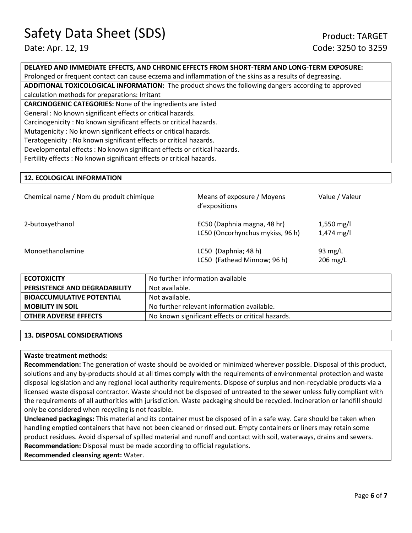**DELAYED AND IMMEDIATE EFFECTS, AND CHRONIC EFFECTS FROM SHORT-TERM AND LONG-TERM EXPOSURE:** 

Prolonged or frequent contact can cause eczema and inflammation of the skins as a results of degreasing.

**ADDITIONAL TOXICOLOGICAL INFORMATION:** The product shows the following dangers according to approved calculation methods for preparations: Irritant

**CARCINOGENIC CATEGORIES:** None of the ingredients are listed General : No known significant effects or critical hazards. Carcinogenicity : No known significant effects or critical hazards. Mutagenicity : No known significant effects or critical hazards. Teratogenicity : No known significant effects or critical hazards. Developmental effects : No known significant effects or critical hazards.

## Fertility effects : No known significant effects or critical hazards.

### **12. ECOLOGICAL INFORMATION**

| Chemical name / Nom du produit chimique | Means of exposure / Moyens<br>d'expositions                     | Value / Valeur                     |
|-----------------------------------------|-----------------------------------------------------------------|------------------------------------|
| 2-butoxyethanol                         | EC50 (Daphnia magna, 48 hr)<br>LC50 (Oncorhynchus mykiss, 96 h) | 1,550 mg/l<br>$1,474 \text{ mg/l}$ |
| Monoethanolamine                        | LC50 (Daphnia; 48 h)<br>LC50 (Fathead Minnow; 96 h)             | 93 $mg/L$<br>$206 \text{ mg/L}$    |

| <b>ECOTOXICITY</b>               | No further information available                  |  |
|----------------------------------|---------------------------------------------------|--|
| PERSISTENCE AND DEGRADABILITY    | Not available.                                    |  |
| <b>BIOACCUMULATIVE POTENTIAL</b> | Not available.                                    |  |
| <b>MOBILITY IN SOIL</b>          | No further relevant information available.        |  |
| <b>OTHER ADVERSE EFFECTS</b>     | No known significant effects or critical hazards. |  |
|                                  |                                                   |  |

#### **13. DISPOSAL CONSIDERATIONS**

#### **Waste treatment methods:**

**Recommendation:** The generation of waste should be avoided or minimized wherever possible. Disposal of this product, solutions and any by-products should at all times comply with the requirements of environmental protection and waste disposal legislation and any regional local authority requirements. Dispose of surplus and non-recyclable products via a licensed waste disposal contractor. Waste should not be disposed of untreated to the sewer unless fully compliant with the requirements of all authorities with jurisdiction. Waste packaging should be recycled. Incineration or landfill should only be considered when recycling is not feasible.

**Uncleaned packagings:** This material and its container must be disposed of in a safe way. Care should be taken when handling emptied containers that have not been cleaned or rinsed out. Empty containers or liners may retain some product residues. Avoid dispersal of spilled material and runoff and contact with soil, waterways, drains and sewers. **Recommendation:** Disposal must be made according to official regulations.

**Recommended cleansing agent:** Water.